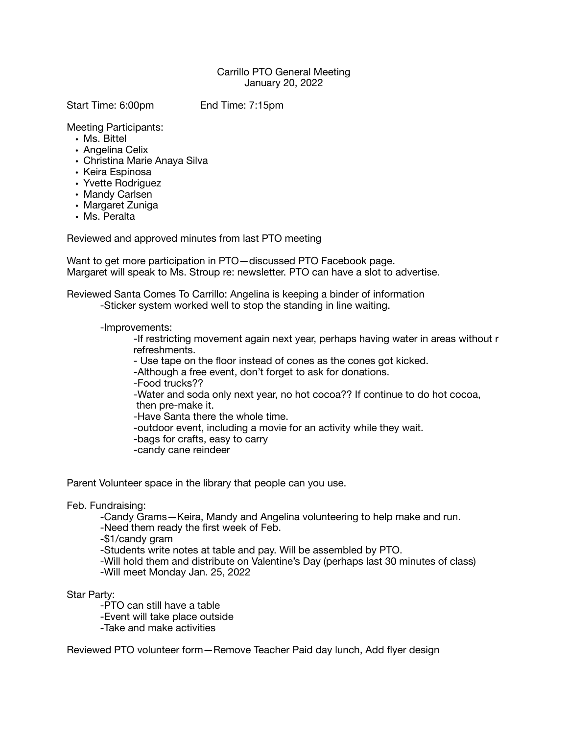## Carrillo PTO General Meeting January 20, 2022

Start Time: 6:00pm End Time: 7:15pm

Meeting Participants:

- Ms. Bittel
- Angelina Celix
- Christina Marie Anaya Silva
- Keira Espinosa
- Yvette Rodriguez
- Mandy Carlsen
- Margaret Zuniga
- Ms. Peralta

Reviewed and approved minutes from last PTO meeting

Want to get more participation in PTO—discussed PTO Facebook page. Margaret will speak to Ms. Stroup re: newsletter. PTO can have a slot to advertise.

Reviewed Santa Comes To Carrillo: Angelina is keeping a binder of information

-Sticker system worked well to stop the standing in line waiting.

-Improvements:

 -If restricting movement again next year, perhaps having water in areas without r refreshments.

 - Use tape on the floor instead of cones as the cones got kicked.

 -Although a free event, don't forget to ask for donations.

 -Food trucks??

 -Water and soda only next year, no hot cocoa?? If continue to do hot cocoa, then pre-make it.

 -Have Santa there the whole time.

 -outdoor event, including a movie for an activity while they wait.

- -bags for crafts, easy to carry
- -candy cane reindeer

Parent Volunteer space in the library that people can you use.

Feb. Fundraising:

-Candy Grams—Keira, Mandy and Angelina volunteering to help make and run.

-Need them ready the first week of Feb.

-\$1/candy gram

-Students write notes at table and pay. Will be assembled by PTO.

-Will hold them and distribute on Valentine's Day (perhaps last 30 minutes of class)

-Will meet Monday Jan. 25, 2022

Star Party:

- -PTO can still have a table
- -Event will take place outside
- -Take and make activities

Reviewed PTO volunteer form—Remove Teacher Paid day lunch, Add flyer design